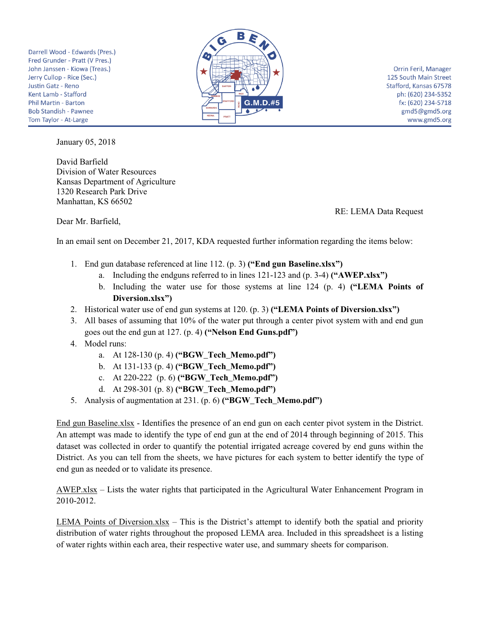Darrell Wood - Edwards (Pres.) Fred Grunder - Pratt (V Pres.) John Janssen - Kiowa (Treas.) Jerry Cullop - Rice (Sec.) Justin Gatz - Reno Kent Lamb - Stafford Phil Martin - Barton **Bob Standish - Pawnee** Tom Taylor - At-Large



Orrin Feril, Manager 125 South Main Street Stafford, Kansas 67578 ph: (620) 234-5352 fx: (620) 234-5718 gmd5@gmd5.org www.gmd5.org

January 05, 2018

David Barfield Division of Water Resources Kansas Department of Agriculture 1320 Research Park Drive Manhattan, KS 66502

RE: LEMA Data Request

Dear Mr. Barfield,

In an email sent on December 21, 2017, KDA requested further information regarding the items below:

- 1. End gun database referenced at line 112. (p. 3) **("End gun Baseline.xlsx")**
	- a. Including the endguns referred to in lines 121-123 and (p. 3-4) **("AWEP.xlsx")**
	- b. Including the water use for those systems at line 124 (p. 4) **("LEMA Points of Diversion.xlsx")**
- 2. Historical water use of end gun systems at 120. (p. 3) **("LEMA Points of Diversion.xlsx")**
- 3. All bases of assuming that 10% of the water put through a center pivot system with and end gun goes out the end gun at 127. (p. 4) **("Nelson End Guns.pdf")**
- 4. Model runs:
	- a. At 128-130 (p. 4) **("BGW\_Tech\_Memo.pdf")**
	- b. At 131-133 (p. 4) **("BGW\_Tech\_Memo.pdf")**
	- c. At 220-222 (p. 6) **("BGW\_Tech\_Memo.pdf")**
	- d. At 298-301 (p. 8) **("BGW\_Tech\_Memo.pdf")**
- 5. Analysis of augmentation at 231. (p. 6) **("BGW\_Tech\_Memo.pdf")**

End gun Baseline.xlsx - Identifies the presence of an end gun on each center pivot system in the District. An attempt was made to identify the type of end gun at the end of 2014 through beginning of 2015. This dataset was collected in order to quantify the potential irrigated acreage covered by end guns within the District. As you can tell from the sheets, we have pictures for each system to better identify the type of end gun as needed or to validate its presence.

AWEP.xlsx – Lists the water rights that participated in the Agricultural Water Enhancement Program in 2010-2012.

LEMA Points of Diversion.xlsx – This is the District's attempt to identify both the spatial and priority distribution of water rights throughout the proposed LEMA area. Included in this spreadsheet is a listing of water rights within each area, their respective water use, and summary sheets for comparison.